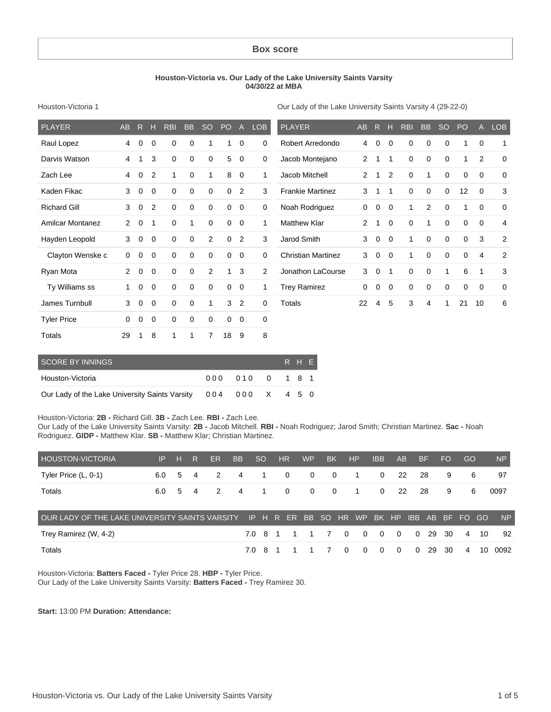#### **Box score**

#### **Houston-Victoria vs. Our Lady of the Lake University Saints Varsity 04/30/22 at MBA**

Houston-Victoria 1

Our Lady of the Lake University Saints Varsity 4 (29-22-0)

| <b>PLAYER</b>           | <b>AB</b> | R           | н              | <b>RBI</b>  | <b>BB</b>   | <sub>SO</sub> | PO           | $\overline{A}$ | <b>LOB</b>  | <b>PLAYER</b>             | <b>AB</b>      | R            | н              | <b>RBI</b>  | <b>BB</b>   | <sub>SO</sub> | <b>PO</b>   |             | <b>LOB</b>     |
|-------------------------|-----------|-------------|----------------|-------------|-------------|---------------|--------------|----------------|-------------|---------------------------|----------------|--------------|----------------|-------------|-------------|---------------|-------------|-------------|----------------|
| Raul Lopez              | 4         | $\mathbf 0$ | 0              | 0           | 0           | 1             | $\mathbf{1}$ | $\mathbf 0$    | 0           | Robert Arredondo          | 4              | $\mathbf 0$  | $\mathbf 0$    | 0           | 0           | 0             | 1           | 0           | $\mathbf 1$    |
| Darvis Watson           | 4         | 1           | 3              | $\mathbf 0$ | $\mathbf 0$ | 0             | 5            | 0              | $\mathbf 0$ | Jacob Montejano           | $\overline{2}$ | 1            | $\mathbf{1}$   | $\mathbf 0$ | 0           | $\mathbf 0$   | 1           | 2           | $\mathbf 0$    |
| Zach Lee                | 4         | $\mathbf 0$ | $\overline{2}$ | 1           | $\mathbf 0$ | 1             | 8            | $\mathbf 0$    | 1           | Jacob Mitchell            | $\overline{2}$ | 1            | $\overline{2}$ | 0           | 1           | $\mathbf 0$   | $\mathbf 0$ | 0           | 0              |
| Kaden Fikac             | 3         | $\mathbf 0$ | $\mathbf 0$    | $\mathbf 0$ | $\mathbf 0$ | $\mathbf 0$   | $\mathbf 0$  | 2              | 3           | <b>Frankie Martinez</b>   | 3              | $\mathbf{1}$ | $\mathbf{1}$   | $\mathbf 0$ | $\mathbf 0$ | $\mathbf 0$   | 12          | $\Omega$    | 3              |
| <b>Richard Gill</b>     | 3         | $\mathbf 0$ | $\overline{2}$ | $\mathbf 0$ | $\mathbf 0$ | 0             | $\mathbf 0$  | $\mathbf 0$    | $\mathbf 0$ | Noah Rodriguez            | 0              | $\mathbf 0$  | $\mathbf 0$    | 1           | 2           | $\mathbf 0$   | 1           | $\mathbf 0$ | 0              |
| <b>Amilcar Montanez</b> | 2         | 0           | 1              | $\mathbf 0$ | 1           | 0             | $\mathbf 0$  | $\mathbf 0$    | 1           | <b>Matthew Klar</b>       | $\overline{2}$ | 1            | 0              | $\mathbf 0$ | 1           | $\mathbf 0$   | 0           | 0           | 4              |
| Hayden Leopold          | 3         | $\mathbf 0$ | $\mathbf 0$    | $\mathbf 0$ | $\mathbf 0$ | 2             | $\Omega$     | 2              | 3           | Jarod Smith               | 3              | $\mathbf 0$  | $\Omega$       | 1           | $\mathbf 0$ | $\mathbf 0$   | $\mathbf 0$ | 3           | $\overline{2}$ |
| Clayton Wenske c        | 0         | 0           | 0              | $\mathbf 0$ | $\mathbf 0$ | 0             | $\mathbf 0$  | $\mathbf 0$    | $\mathbf 0$ | <b>Christian Martinez</b> | 3              | $\mathbf 0$  | $\mathbf 0$    | 1           | $\mathbf 0$ | $\mathbf 0$   | $\mathbf 0$ | 4           | $\overline{c}$ |
| Ryan Mota               | 2         | 0           | 0              | $\mathbf 0$ | 0           | 2             | 1            | 3              | 2           | Jonathon LaCourse         | 3              | $\mathbf 0$  | 1              | $\mathbf 0$ | 0           | 1             | 6           |             | 3              |
| Ty Williams ss          | 1         | $\mathbf 0$ | 0              | $\mathbf 0$ | $\mathbf 0$ | $\mathbf 0$   | $\mathbf 0$  | $\mathbf 0$    | 1           | <b>Trey Ramirez</b>       | 0              | $\mathbf 0$  | $\mathbf 0$    | 0           | $\mathbf 0$ | $\mathbf 0$   | $\mathbf 0$ | 0           | 0              |
| James Turnbull          | 3         | $\mathbf 0$ | 0              | $\mathbf 0$ | $\mathbf 0$ | 1             | 3            | $\overline{2}$ | 0           | <b>Totals</b>             | 22             | 4            | 5              | 3           | 4           | 1             | 21          | 10          | 6              |
| <b>Tyler Price</b>      | 0         | 0           | 0              | $\mathbf 0$ | 0           | 0             | $\mathbf 0$  | $\mathbf 0$    | 0           |                           |                |              |                |             |             |               |             |             |                |
| <b>Totals</b>           | 29        |             | 8              | 1           | 1           | 7             | 18           | 9              | 8           |                           |                |              |                |             |             |               |             |             |                |

| <b>SCORE BY INNINGS</b>                                        |                 |  | R H E |  |
|----------------------------------------------------------------|-----------------|--|-------|--|
| Houston-Victoria                                               | 000 010 0 1 8 1 |  |       |  |
| Our Lady of the Lake University Saints Varsity 004 000 X 4 5 0 |                 |  |       |  |

Houston-Victoria: **2B -** Richard Gill. **3B -** Zach Lee. **RBI -** Zach Lee.

Our Lady of the Lake University Saints Varsity: **2B -** Jacob Mitchell. **RBI -** Noah Rodriguez; Jarod Smith; Christian Martinez. **Sac -** Noah Rodriguez. **GIDP -** Matthew Klar. **SB -** Matthew Klar; Christian Martinez.

| <b>HOUSTON-VICTORIA</b>                        | IP. | н | R. | <b>ER</b>     | <b>BB</b>      | <sub>SO</sub> | HR.          | <b>WP</b>      | BK                      |          | <b>HP</b>    | <b>IBB</b>   | AB       |            | <b>BF</b> | <b>FO</b> | GO       |    | <b>NP</b> |
|------------------------------------------------|-----|---|----|---------------|----------------|---------------|--------------|----------------|-------------------------|----------|--------------|--------------|----------|------------|-----------|-----------|----------|----|-----------|
| Tyler Price (L, 0-1)                           | 6.0 | 5 | 4  | 2             | 4              | 1             | $\mathbf{0}$ | 0              | $\overline{\mathbf{0}}$ |          | $\mathbf{1}$ | $\mathbf{0}$ | 22       |            | 28        | 9         | 6        |    | 97        |
| Totals                                         | 6.0 | 5 | 4  | $\mathcal{P}$ | $\overline{4}$ | 1             | $\mathbf{0}$ | 0              | $\mathbf 0$             |          | $\mathbf{1}$ | $\mathbf{0}$ | 22       |            | 28        | 9         | 6        |    | 0097      |
| OUR LADY OF THE LAKE UNIVERSITY SAINTS VARSITY |     |   |    |               |                |               | IP H R ER    | BB SO          |                         |          | HR WP        | BK HP        |          | <b>IBB</b> | AB.       |           | BF FO GO |    | <b>NP</b> |
| Trey Ramirez (W, 4-2)                          |     |   |    |               |                |               | 7.0 8 1 1    | $\overline{1}$ | $\overline{7}$          | $\Omega$ | $\Omega$     | $\Omega$     | $\Omega$ | $\Omega$   | 29        | -30       | 4        | 10 | 92        |
| Totals                                         |     |   |    |               | 7.0            | - 8           |              |                |                         | $\Omega$ | $\Omega$     | $\Omega$     | $\Omega$ | $\Omega$   | 29        | 30        | 4        | 10 | 0092      |

Houston-Victoria: **Batters Faced -** Tyler Price 28. **HBP -** Tyler Price.

Our Lady of the Lake University Saints Varsity: **Batters Faced -** Trey Ramirez 30.

**Start:** 13:00 PM **Duration: Attendance:**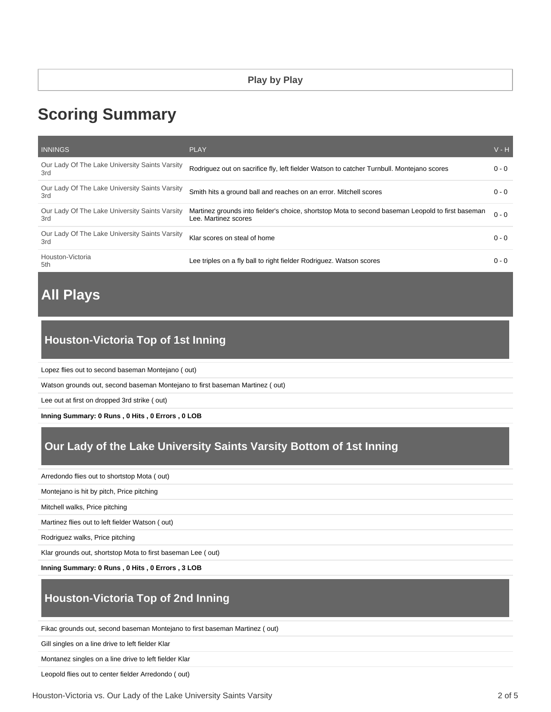# **Scoring Summary**

| <b>INNINGS</b>                                        | <b>PLAY</b>                                                                                                               | $V - H$ |
|-------------------------------------------------------|---------------------------------------------------------------------------------------------------------------------------|---------|
| Our Lady Of The Lake University Saints Varsity<br>3rd | Rodriguez out on sacrifice fly, left fielder Watson to catcher Turnbull. Montejano scores                                 | $0 - 0$ |
| Our Lady Of The Lake University Saints Varsity<br>3rd | Smith hits a ground ball and reaches on an error. Mitchell scores                                                         | $0 - 0$ |
| Our Lady Of The Lake University Saints Varsity<br>3rd | Martinez grounds into fielder's choice, shortstop Mota to second baseman Leopold to first baseman<br>Lee. Martinez scores | $0 - 0$ |
| Our Lady Of The Lake University Saints Varsity<br>3rd | Klar scores on steal of home                                                                                              | $0 - 0$ |
| Houston-Victoria<br>5th                               | Lee triples on a fly ball to right fielder Rodriguez. Watson scores                                                       | $0 - 0$ |

# **All Plays**

# **Houston-Victoria Top of 1st Inning**

Lopez flies out to second baseman Montejano ( out)

Watson grounds out, second baseman Montejano to first baseman Martinez ( out)

Lee out at first on dropped 3rd strike ( out)

**Inning Summary: 0 Runs , 0 Hits , 0 Errors , 0 LOB**

# **Our Lady of the Lake University Saints Varsity Bottom of 1st Inning**

Arredondo flies out to shortstop Mota ( out)

Montejano is hit by pitch, Price pitching

Mitchell walks, Price pitching

Martinez flies out to left fielder Watson ( out)

Rodriguez walks, Price pitching

Klar grounds out, shortstop Mota to first baseman Lee ( out)

**Inning Summary: 0 Runs , 0 Hits , 0 Errors , 3 LOB**

## **Houston-Victoria Top of 2nd Inning**

Fikac grounds out, second baseman Montejano to first baseman Martinez ( out)

Gill singles on a line drive to left fielder Klar

Montanez singles on a line drive to left fielder Klar

Leopold flies out to center fielder Arredondo ( out)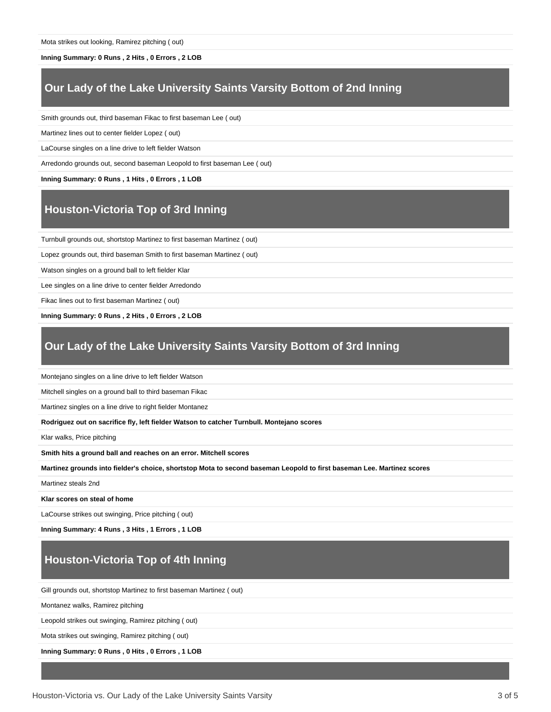Mota strikes out looking, Ramirez pitching ( out)

#### **Inning Summary: 0 Runs , 2 Hits , 0 Errors , 2 LOB**

## **Our Lady of the Lake University Saints Varsity Bottom of 2nd Inning**

Smith grounds out, third baseman Fikac to first baseman Lee ( out)

Martinez lines out to center fielder Lopez ( out)

LaCourse singles on a line drive to left fielder Watson

Arredondo grounds out, second baseman Leopold to first baseman Lee ( out)

**Inning Summary: 0 Runs , 1 Hits , 0 Errors , 1 LOB**

#### **Houston-Victoria Top of 3rd Inning**

Turnbull grounds out, shortstop Martinez to first baseman Martinez ( out)

Lopez grounds out, third baseman Smith to first baseman Martinez ( out)

Watson singles on a ground ball to left fielder Klar

Lee singles on a line drive to center fielder Arredondo

Fikac lines out to first baseman Martinez ( out)

**Inning Summary: 0 Runs , 2 Hits , 0 Errors , 2 LOB**

#### **Our Lady of the Lake University Saints Varsity Bottom of 3rd Inning**

Montejano singles on a line drive to left fielder Watson

Mitchell singles on a ground ball to third baseman Fikac

Martinez singles on a line drive to right fielder Montanez

**Rodriguez out on sacrifice fly, left fielder Watson to catcher Turnbull. Montejano scores**

Klar walks, Price pitching

**Smith hits a ground ball and reaches on an error. Mitchell scores**

**Martinez grounds into fielder's choice, shortstop Mota to second baseman Leopold to first baseman Lee. Martinez scores**

Martinez steals 2nd

**Klar scores on steal of home**

LaCourse strikes out swinging, Price pitching ( out)

**Inning Summary: 4 Runs , 3 Hits , 1 Errors , 1 LOB**

## **Houston-Victoria Top of 4th Inning**

Gill grounds out, shortstop Martinez to first baseman Martinez ( out)

Montanez walks, Ramirez pitching

Leopold strikes out swinging, Ramirez pitching ( out)

Mota strikes out swinging, Ramirez pitching ( out)

**Inning Summary: 0 Runs , 0 Hits , 0 Errors , 1 LOB**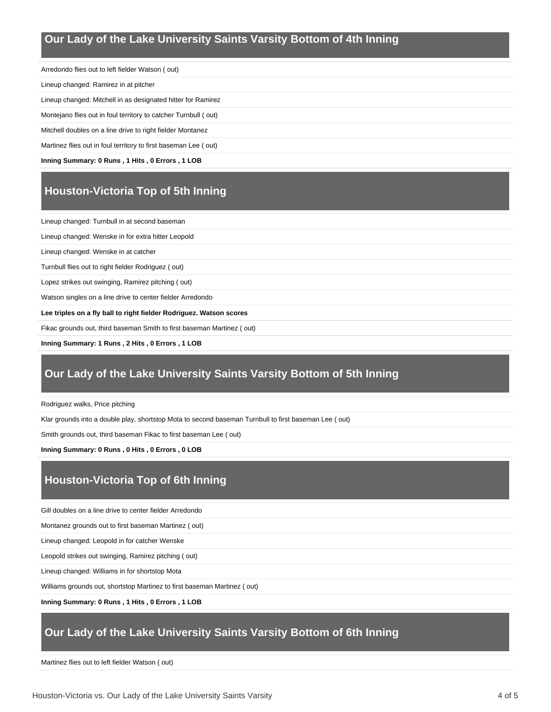## **Our Lady of the Lake University Saints Varsity Bottom of 4th Inning**

Arredondo flies out to left fielder Watson ( out) Lineup changed: Ramirez in at pitcher Lineup changed: Mitchell in as designated hitter for Ramirez Montejano flies out in foul territory to catcher Turnbull ( out) Mitchell doubles on a line drive to right fielder Montanez

Martinez flies out in foul territory to first baseman Lee ( out)

**Inning Summary: 0 Runs , 1 Hits , 0 Errors , 1 LOB**

# **Houston-Victoria Top of 5th Inning**

Lineup changed: Turnbull in at second baseman

Lineup changed: Wenske in for extra hitter Leopold

Lineup changed: Wenske in at catcher

Turnbull flies out to right fielder Rodriguez ( out)

Lopez strikes out swinging, Ramirez pitching ( out)

Watson singles on a line drive to center fielder Arredondo

**Lee triples on a fly ball to right fielder Rodriguez. Watson scores**

Fikac grounds out, third baseman Smith to first baseman Martinez ( out)

**Inning Summary: 1 Runs , 2 Hits , 0 Errors , 1 LOB**

### **Our Lady of the Lake University Saints Varsity Bottom of 5th Inning**

Rodriguez walks, Price pitching

Klar grounds into a double play, shortstop Mota to second baseman Turnbull to first baseman Lee ( out)

Smith grounds out, third baseman Fikac to first baseman Lee ( out)

**Inning Summary: 0 Runs , 0 Hits , 0 Errors , 0 LOB**

# **Houston-Victoria Top of 6th Inning**

Gill doubles on a line drive to center fielder Arredondo

Montanez grounds out to first baseman Martinez ( out)

Lineup changed: Leopold in for catcher Wenske

Leopold strikes out swinging, Ramirez pitching ( out)

Lineup changed: Williams in for shortstop Mota

Williams grounds out, shortstop Martinez to first baseman Martinez ( out)

#### **Inning Summary: 0 Runs , 1 Hits , 0 Errors , 1 LOB**

## **Our Lady of the Lake University Saints Varsity Bottom of 6th Inning**

Martinez flies out to left fielder Watson ( out)